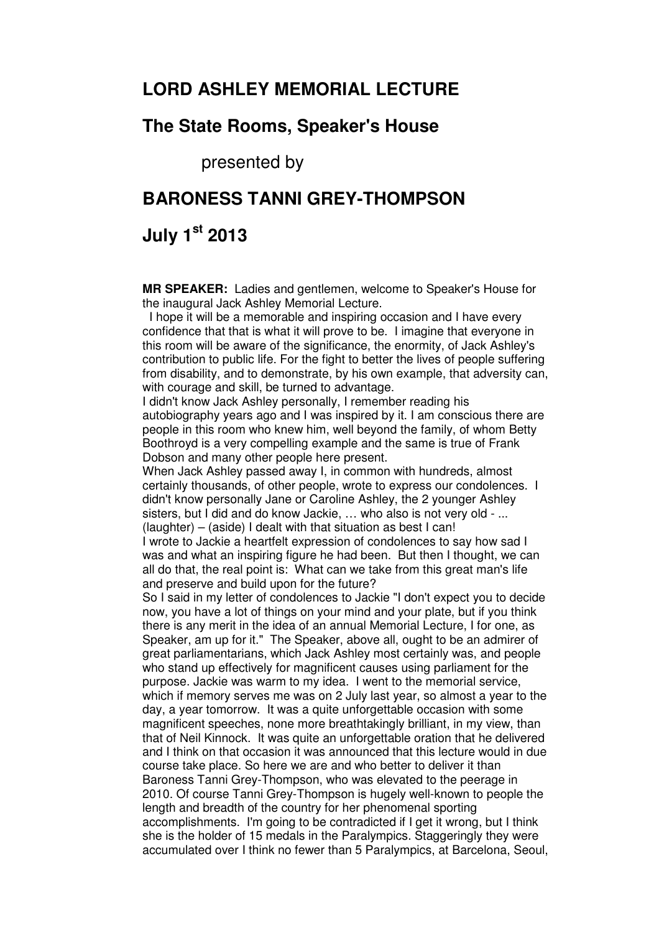## **LORD ASHLEY MEMORIAL LECTURE**

## **The State Rooms, Speaker's House**

presented by

## **BARONESS TANNI GREY-THOMPSON**

## **July 1st 2013**

**MR SPEAKER:** Ladies and gentlemen, welcome to Speaker's House for the inaugural Jack Ashley Memorial Lecture.

 I hope it will be a memorable and inspiring occasion and I have every confidence that that is what it will prove to be. I imagine that everyone in this room will be aware of the significance, the enormity, of Jack Ashley's contribution to public life. For the fight to better the lives of people suffering from disability, and to demonstrate, by his own example, that adversity can, with courage and skill, be turned to advantage.

I didn't know Jack Ashley personally, I remember reading his autobiography years ago and I was inspired by it. I am conscious there are people in this room who knew him, well beyond the family, of whom Betty Boothroyd is a very compelling example and the same is true of Frank Dobson and many other people here present.

When Jack Ashley passed away I, in common with hundreds, almost certainly thousands, of other people, wrote to express our condolences. I didn't know personally Jane or Caroline Ashley, the 2 younger Ashley sisters, but I did and do know Jackie, … who also is not very old - ... (laughter) – (aside) I dealt with that situation as best I can!

I wrote to Jackie a heartfelt expression of condolences to say how sad I was and what an inspiring figure he had been. But then I thought, we can all do that, the real point is: What can we take from this great man's life and preserve and build upon for the future?

So I said in my letter of condolences to Jackie "I don't expect you to decide now, you have a lot of things on your mind and your plate, but if you think there is any merit in the idea of an annual Memorial Lecture, I for one, as Speaker, am up for it." The Speaker, above all, ought to be an admirer of great parliamentarians, which Jack Ashley most certainly was, and people who stand up effectively for magnificent causes using parliament for the purpose. Jackie was warm to my idea. I went to the memorial service, which if memory serves me was on 2 July last year, so almost a year to the day, a year tomorrow. It was a quite unforgettable occasion with some magnificent speeches, none more breathtakingly brilliant, in my view, than that of Neil Kinnock. It was quite an unforgettable oration that he delivered and I think on that occasion it was announced that this lecture would in due course take place. So here we are and who better to deliver it than Baroness Tanni Grey-Thompson, who was elevated to the peerage in 2010. Of course Tanni Grey-Thompson is hugely well-known to people the length and breadth of the country for her phenomenal sporting accomplishments. I'm going to be contradicted if I get it wrong, but I think she is the holder of 15 medals in the Paralympics. Staggeringly they were accumulated over I think no fewer than 5 Paralympics, at Barcelona, Seoul,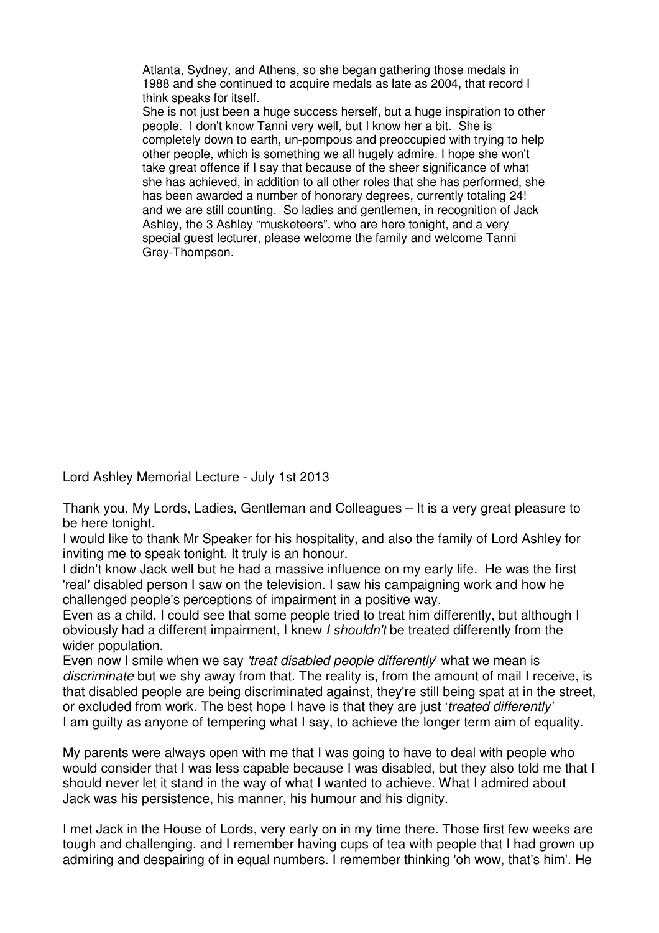Atlanta, Sydney, and Athens, so she began gathering those medals in 1988 and she continued to acquire medals as late as 2004, that record I think speaks for itself.

She is not just been a huge success herself, but a huge inspiration to other people. I don't know Tanni very well, but I know her a bit. She is completely down to earth, un-pompous and preoccupied with trying to help other people, which is something we all hugely admire. I hope she won't take great offence if I say that because of the sheer significance of what she has achieved, in addition to all other roles that she has performed, she has been awarded a number of honorary degrees, currently totaling 24! and we are still counting. So ladies and gentlemen, in recognition of Jack Ashley, the 3 Ashley "musketeers", who are here tonight, and a very special guest lecturer, please welcome the family and welcome Tanni Grey-Thompson.

Lord Ashley Memorial Lecture - July 1st 2013

Thank you, My Lords, Ladies, Gentleman and Colleagues – It is a very great pleasure to be here tonight.

I would like to thank Mr Speaker for his hospitality, and also the family of Lord Ashley for inviting me to speak tonight. It truly is an honour.

I didn't know Jack well but he had a massive influence on my early life. He was the first 'real' disabled person I saw on the television. I saw his campaigning work and how he challenged people's perceptions of impairment in a positive way.

Even as a child, I could see that some people tried to treat him differently, but although I obviously had a different impairment, I knew I shouldn't be treated differently from the wider population.

Even now I smile when we say 'treat disabled people differently' what we mean is discriminate but we shy away from that. The reality is, from the amount of mail I receive, is that disabled people are being discriminated against, they're still being spat at in the street, or excluded from work. The best hope I have is that they are just 'treated differently' I am guilty as anyone of tempering what I say, to achieve the longer term aim of equality.

My parents were always open with me that I was going to have to deal with people who would consider that I was less capable because I was disabled, but they also told me that I should never let it stand in the way of what I wanted to achieve. What I admired about Jack was his persistence, his manner, his humour and his dignity.

I met Jack in the House of Lords, very early on in my time there. Those first few weeks are tough and challenging, and I remember having cups of tea with people that I had grown up admiring and despairing of in equal numbers. I remember thinking 'oh wow, that's him'. He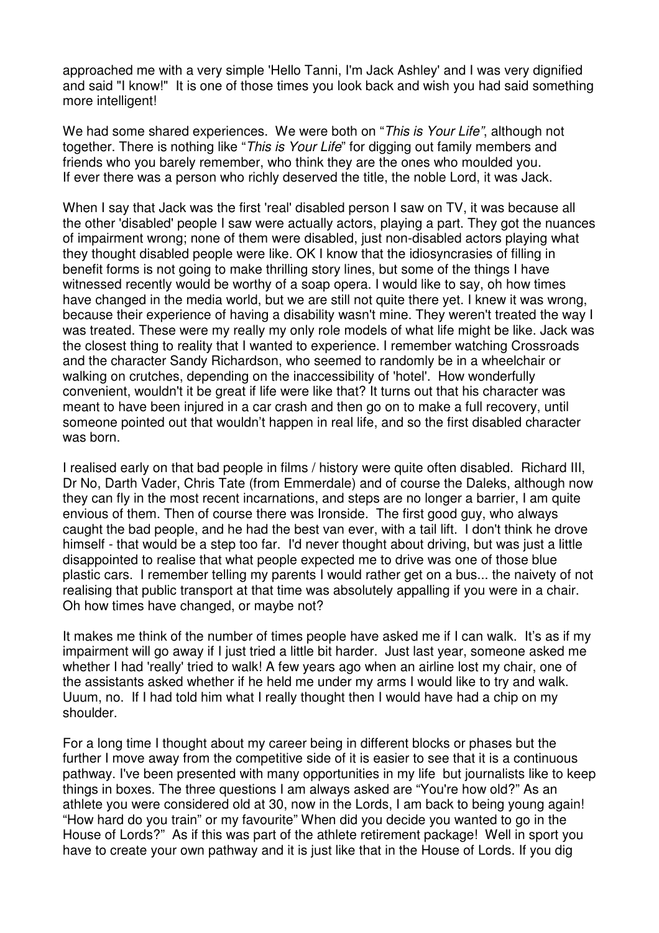approached me with a very simple 'Hello Tanni, I'm Jack Ashley' and I was very dignified and said "I know!" It is one of those times you look back and wish you had said something more intelligent!

We had some shared experiences. We were both on "This is Your Life", although not together. There is nothing like "This is Your Life" for digging out family members and friends who you barely remember, who think they are the ones who moulded you. If ever there was a person who richly deserved the title, the noble Lord, it was Jack.

When I say that Jack was the first 'real' disabled person I saw on TV, it was because all the other 'disabled' people I saw were actually actors, playing a part. They got the nuances of impairment wrong; none of them were disabled, just non-disabled actors playing what they thought disabled people were like. OK I know that the idiosyncrasies of filling in benefit forms is not going to make thrilling story lines, but some of the things I have witnessed recently would be worthy of a soap opera. I would like to say, oh how times have changed in the media world, but we are still not quite there yet. I knew it was wrong, because their experience of having a disability wasn't mine. They weren't treated the way I was treated. These were my really my only role models of what life might be like. Jack was the closest thing to reality that I wanted to experience. I remember watching Crossroads and the character Sandy Richardson, who seemed to randomly be in a wheelchair or walking on crutches, depending on the inaccessibility of 'hotel'. How wonderfully convenient, wouldn't it be great if life were like that? It turns out that his character was meant to have been injured in a car crash and then go on to make a full recovery, until someone pointed out that wouldn't happen in real life, and so the first disabled character was born.

I realised early on that bad people in films / history were quite often disabled. Richard III, Dr No, Darth Vader, Chris Tate (from Emmerdale) and of course the Daleks, although now they can fly in the most recent incarnations, and steps are no longer a barrier, I am quite envious of them. Then of course there was Ironside. The first good guy, who always caught the bad people, and he had the best van ever, with a tail lift. I don't think he drove himself - that would be a step too far. I'd never thought about driving, but was just a little disappointed to realise that what people expected me to drive was one of those blue plastic cars. I remember telling my parents I would rather get on a bus... the naivety of not realising that public transport at that time was absolutely appalling if you were in a chair. Oh how times have changed, or maybe not?

It makes me think of the number of times people have asked me if I can walk. It's as if my impairment will go away if I just tried a little bit harder. Just last year, someone asked me whether I had 'really' tried to walk! A few years ago when an airline lost my chair, one of the assistants asked whether if he held me under my arms I would like to try and walk. Uuum, no. If I had told him what I really thought then I would have had a chip on my shoulder.

For a long time I thought about my career being in different blocks or phases but the further I move away from the competitive side of it is easier to see that it is a continuous pathway. I've been presented with many opportunities in my life but journalists like to keep things in boxes. The three questions I am always asked are "You're how old?" As an athlete you were considered old at 30, now in the Lords, I am back to being young again! "How hard do you train" or my favourite" When did you decide you wanted to go in the House of Lords?" As if this was part of the athlete retirement package! Well in sport you have to create your own pathway and it is just like that in the House of Lords. If you dig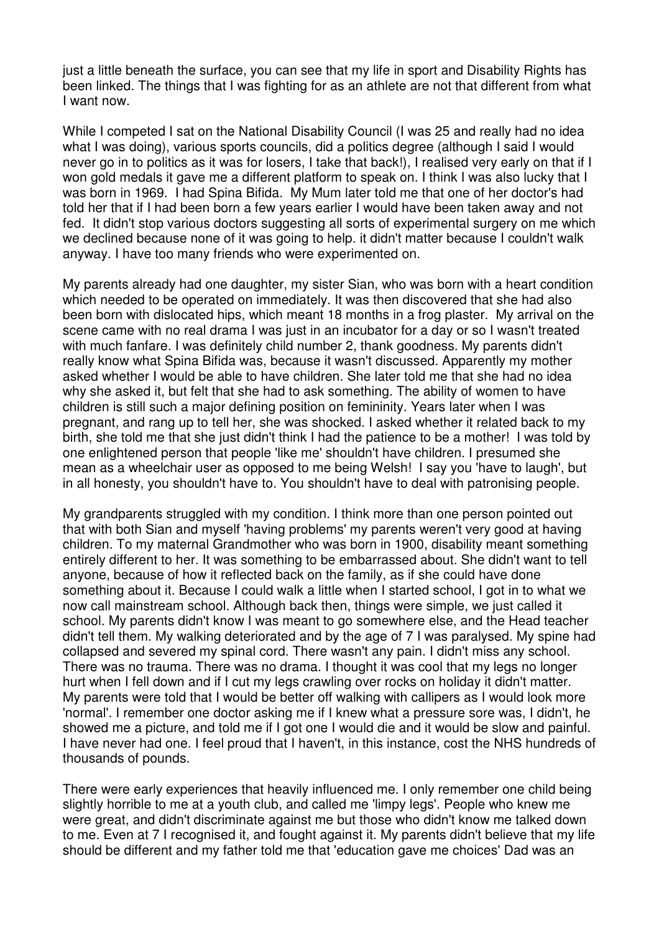just a little beneath the surface, you can see that my life in sport and Disability Rights has been linked. The things that I was fighting for as an athlete are not that different from what I want now.

While I competed I sat on the National Disability Council (I was 25 and really had no idea what I was doing), various sports councils, did a politics degree (although I said I would never go in to politics as it was for losers, I take that back!), I realised very early on that if I won gold medals it gave me a different platform to speak on. I think I was also lucky that I was born in 1969. I had Spina Bifida. My Mum later told me that one of her doctor's had told her that if I had been born a few years earlier I would have been taken away and not fed. It didn't stop various doctors suggesting all sorts of experimental surgery on me which we declined because none of it was going to help. it didn't matter because I couldn't walk anyway. I have too many friends who were experimented on.

My parents already had one daughter, my sister Sian, who was born with a heart condition which needed to be operated on immediately. It was then discovered that she had also been born with dislocated hips, which meant 18 months in a frog plaster. My arrival on the scene came with no real drama I was just in an incubator for a day or so I wasn't treated with much fanfare. I was definitely child number 2, thank goodness. My parents didn't really know what Spina Bifida was, because it wasn't discussed. Apparently my mother asked whether I would be able to have children. She later told me that she had no idea why she asked it, but felt that she had to ask something. The ability of women to have children is still such a major defining position on femininity. Years later when I was pregnant, and rang up to tell her, she was shocked. I asked whether it related back to my birth, she told me that she just didn't think I had the patience to be a mother! I was told by one enlightened person that people 'like me' shouldn't have children. I presumed she mean as a wheelchair user as opposed to me being Welsh! I say you 'have to laugh', but in all honesty, you shouldn't have to. You shouldn't have to deal with patronising people.

My grandparents struggled with my condition. I think more than one person pointed out that with both Sian and myself 'having problems' my parents weren't very good at having children. To my maternal Grandmother who was born in 1900, disability meant something entirely different to her. It was something to be embarrassed about. She didn't want to tell anyone, because of how it reflected back on the family, as if she could have done something about it. Because I could walk a little when I started school, I got in to what we now call mainstream school. Although back then, things were simple, we just called it school. My parents didn't know I was meant to go somewhere else, and the Head teacher didn't tell them. My walking deteriorated and by the age of 7 I was paralysed. My spine had collapsed and severed my spinal cord. There wasn't any pain. I didn't miss any school. There was no trauma. There was no drama. I thought it was cool that my legs no longer hurt when I fell down and if I cut my legs crawling over rocks on holiday it didn't matter. My parents were told that I would be better off walking with callipers as I would look more 'normal'. I remember one doctor asking me if I knew what a pressure sore was, I didn't, he showed me a picture, and told me if I got one I would die and it would be slow and painful. I have never had one. I feel proud that I haven't, in this instance, cost the NHS hundreds of thousands of pounds.

There were early experiences that heavily influenced me. I only remember one child being slightly horrible to me at a youth club, and called me 'limpy legs'. People who knew me were great, and didn't discriminate against me but those who didn't know me talked down to me. Even at 7 I recognised it, and fought against it. My parents didn't believe that my life should be different and my father told me that 'education gave me choices' Dad was an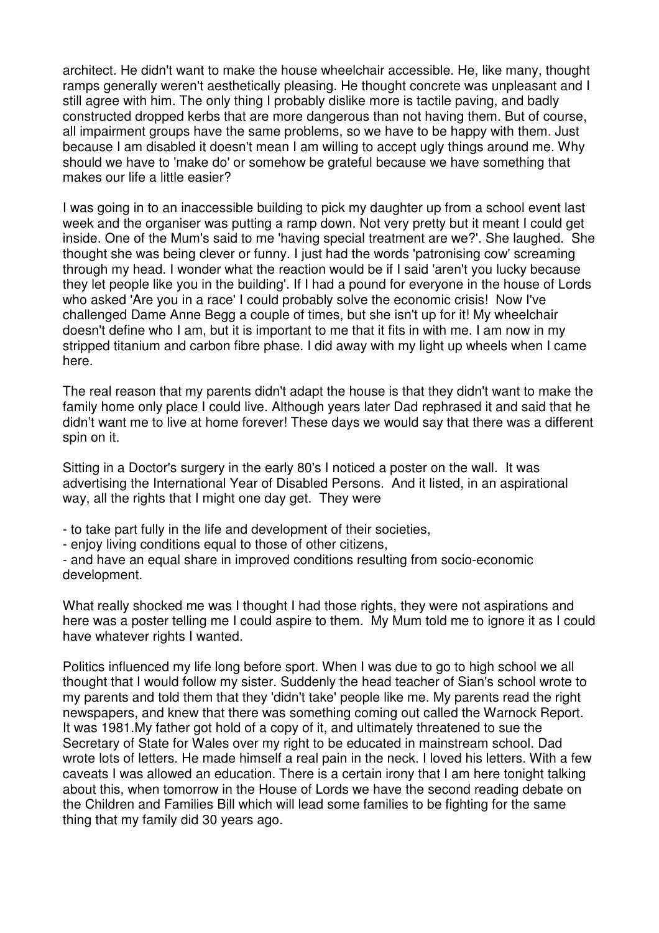architect. He didn't want to make the house wheelchair accessible. He, like many, thought ramps generally weren't aesthetically pleasing. He thought concrete was unpleasant and I still agree with him. The only thing I probably dislike more is tactile paving, and badly constructed dropped kerbs that are more dangerous than not having them. But of course, all impairment groups have the same problems, so we have to be happy with them. Just because I am disabled it doesn't mean I am willing to accept ugly things around me. Why should we have to 'make do' or somehow be grateful because we have something that makes our life a little easier?

I was going in to an inaccessible building to pick my daughter up from a school event last week and the organiser was putting a ramp down. Not very pretty but it meant I could get inside. One of the Mum's said to me 'having special treatment are we?'. She laughed. She thought she was being clever or funny. I just had the words 'patronising cow' screaming through my head. I wonder what the reaction would be if I said 'aren't you lucky because they let people like you in the building'. If I had a pound for everyone in the house of Lords who asked 'Are you in a race' I could probably solve the economic crisis! Now I've challenged Dame Anne Begg a couple of times, but she isn't up for it! My wheelchair doesn't define who I am, but it is important to me that it fits in with me. I am now in my stripped titanium and carbon fibre phase. I did away with my light up wheels when I came here.

The real reason that my parents didn't adapt the house is that they didn't want to make the family home only place I could live. Although years later Dad rephrased it and said that he didn't want me to live at home forever! These days we would say that there was a different spin on it.

Sitting in a Doctor's surgery in the early 80's I noticed a poster on the wall. It was advertising the International Year of Disabled Persons. And it listed, in an aspirational way, all the rights that I might one day get. They were

- to take part fully in the life and development of their societies,

- enjoy living conditions equal to those of other citizens,

- and have an equal share in improved conditions resulting from socio-economic development.

What really shocked me was I thought I had those rights, they were not aspirations and here was a poster telling me I could aspire to them. My Mum told me to ignore it as I could have whatever rights I wanted.

Politics influenced my life long before sport. When I was due to go to high school we all thought that I would follow my sister. Suddenly the head teacher of Sian's school wrote to my parents and told them that they 'didn't take' people like me. My parents read the right newspapers, and knew that there was something coming out called the Warnock Report. It was 1981.My father got hold of a copy of it, and ultimately threatened to sue the Secretary of State for Wales over my right to be educated in mainstream school. Dad wrote lots of letters. He made himself a real pain in the neck. I loved his letters. With a few caveats I was allowed an education. There is a certain irony that I am here tonight talking about this, when tomorrow in the House of Lords we have the second reading debate on the Children and Families Bill which will lead some families to be fighting for the same thing that my family did 30 years ago.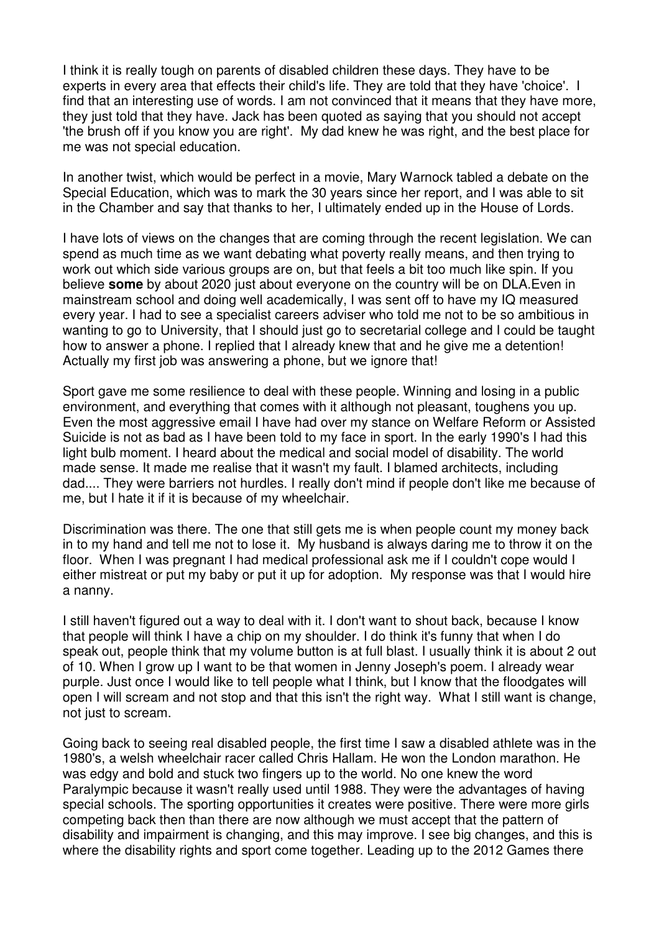I think it is really tough on parents of disabled children these days. They have to be experts in every area that effects their child's life. They are told that they have 'choice'. I find that an interesting use of words. I am not convinced that it means that they have more, they just told that they have. Jack has been quoted as saying that you should not accept 'the brush off if you know you are right'. My dad knew he was right, and the best place for me was not special education.

In another twist, which would be perfect in a movie, Mary Warnock tabled a debate on the Special Education, which was to mark the 30 years since her report, and I was able to sit in the Chamber and say that thanks to her, I ultimately ended up in the House of Lords.

I have lots of views on the changes that are coming through the recent legislation. We can spend as much time as we want debating what poverty really means, and then trying to work out which side various groups are on, but that feels a bit too much like spin. If you believe **some** by about 2020 just about everyone on the country will be on DLA.Even in mainstream school and doing well academically, I was sent off to have my IQ measured every year. I had to see a specialist careers adviser who told me not to be so ambitious in wanting to go to University, that I should just go to secretarial college and I could be taught how to answer a phone. I replied that I already knew that and he give me a detention! Actually my first job was answering a phone, but we ignore that!

Sport gave me some resilience to deal with these people. Winning and losing in a public environment, and everything that comes with it although not pleasant, toughens you up. Even the most aggressive email I have had over my stance on Welfare Reform or Assisted Suicide is not as bad as I have been told to my face in sport. In the early 1990's I had this light bulb moment. I heard about the medical and social model of disability. The world made sense. It made me realise that it wasn't my fault. I blamed architects, including dad.... They were barriers not hurdles. I really don't mind if people don't like me because of me, but I hate it if it is because of my wheelchair.

Discrimination was there. The one that still gets me is when people count my money back in to my hand and tell me not to lose it. My husband is always daring me to throw it on the floor. When I was pregnant I had medical professional ask me if I couldn't cope would I either mistreat or put my baby or put it up for adoption. My response was that I would hire a nanny.

I still haven't figured out a way to deal with it. I don't want to shout back, because I know that people will think I have a chip on my shoulder. I do think it's funny that when I do speak out, people think that my volume button is at full blast. I usually think it is about 2 out of 10. When I grow up I want to be that women in Jenny Joseph's poem. I already wear purple. Just once I would like to tell people what I think, but I know that the floodgates will open I will scream and not stop and that this isn't the right way. What I still want is change, not just to scream.

Going back to seeing real disabled people, the first time I saw a disabled athlete was in the 1980's, a welsh wheelchair racer called Chris Hallam. He won the London marathon. He was edgy and bold and stuck two fingers up to the world. No one knew the word Paralympic because it wasn't really used until 1988. They were the advantages of having special schools. The sporting opportunities it creates were positive. There were more girls competing back then than there are now although we must accept that the pattern of disability and impairment is changing, and this may improve. I see big changes, and this is where the disability rights and sport come together. Leading up to the 2012 Games there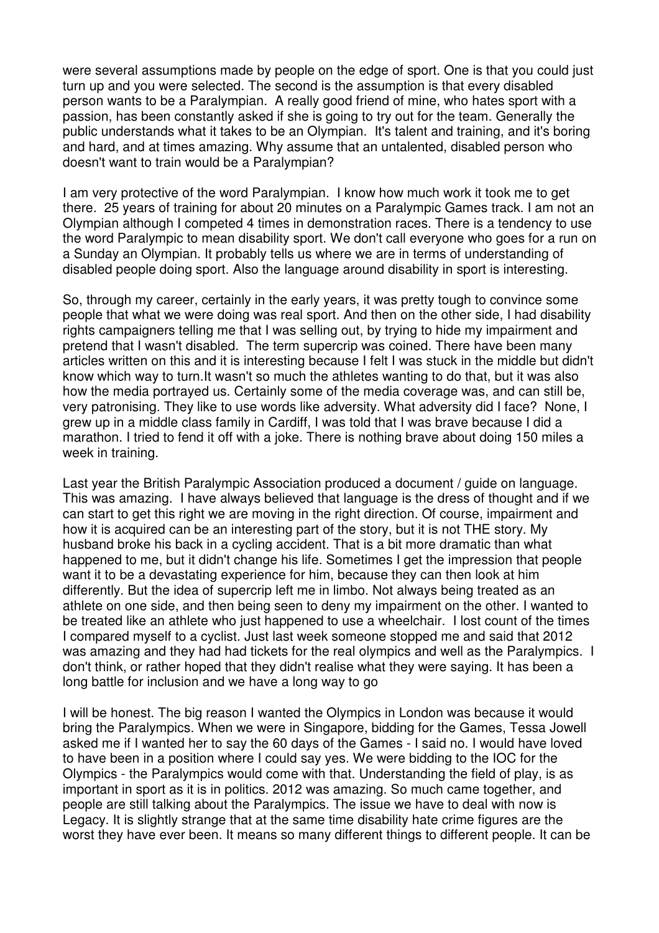were several assumptions made by people on the edge of sport. One is that you could just turn up and you were selected. The second is the assumption is that every disabled person wants to be a Paralympian. A really good friend of mine, who hates sport with a passion, has been constantly asked if she is going to try out for the team. Generally the public understands what it takes to be an Olympian. It's talent and training, and it's boring and hard, and at times amazing. Why assume that an untalented, disabled person who doesn't want to train would be a Paralympian?

I am very protective of the word Paralympian. I know how much work it took me to get there. 25 years of training for about 20 minutes on a Paralympic Games track. I am not an Olympian although I competed 4 times in demonstration races. There is a tendency to use the word Paralympic to mean disability sport. We don't call everyone who goes for a run on a Sunday an Olympian. It probably tells us where we are in terms of understanding of disabled people doing sport. Also the language around disability in sport is interesting.

So, through my career, certainly in the early years, it was pretty tough to convince some people that what we were doing was real sport. And then on the other side, I had disability rights campaigners telling me that I was selling out, by trying to hide my impairment and pretend that I wasn't disabled. The term supercrip was coined. There have been many articles written on this and it is interesting because I felt I was stuck in the middle but didn't know which way to turn.It wasn't so much the athletes wanting to do that, but it was also how the media portrayed us. Certainly some of the media coverage was, and can still be, very patronising. They like to use words like adversity. What adversity did I face? None, I grew up in a middle class family in Cardiff, I was told that I was brave because I did a marathon. I tried to fend it off with a joke. There is nothing brave about doing 150 miles a week in training.

Last year the British Paralympic Association produced a document / guide on language. This was amazing. I have always believed that language is the dress of thought and if we can start to get this right we are moving in the right direction. Of course, impairment and how it is acquired can be an interesting part of the story, but it is not THE story. My husband broke his back in a cycling accident. That is a bit more dramatic than what happened to me, but it didn't change his life. Sometimes I get the impression that people want it to be a devastating experience for him, because they can then look at him differently. But the idea of supercrip left me in limbo. Not always being treated as an athlete on one side, and then being seen to deny my impairment on the other. I wanted to be treated like an athlete who just happened to use a wheelchair. I lost count of the times I compared myself to a cyclist. Just last week someone stopped me and said that 2012 was amazing and they had had tickets for the real olympics and well as the Paralympics. I don't think, or rather hoped that they didn't realise what they were saying. It has been a long battle for inclusion and we have a long way to go

I will be honest. The big reason I wanted the Olympics in London was because it would bring the Paralympics. When we were in Singapore, bidding for the Games, Tessa Jowell asked me if I wanted her to say the 60 days of the Games - I said no. I would have loved to have been in a position where I could say yes. We were bidding to the IOC for the Olympics - the Paralympics would come with that. Understanding the field of play, is as important in sport as it is in politics. 2012 was amazing. So much came together, and people are still talking about the Paralympics. The issue we have to deal with now is Legacy. It is slightly strange that at the same time disability hate crime figures are the worst they have ever been. It means so many different things to different people. It can be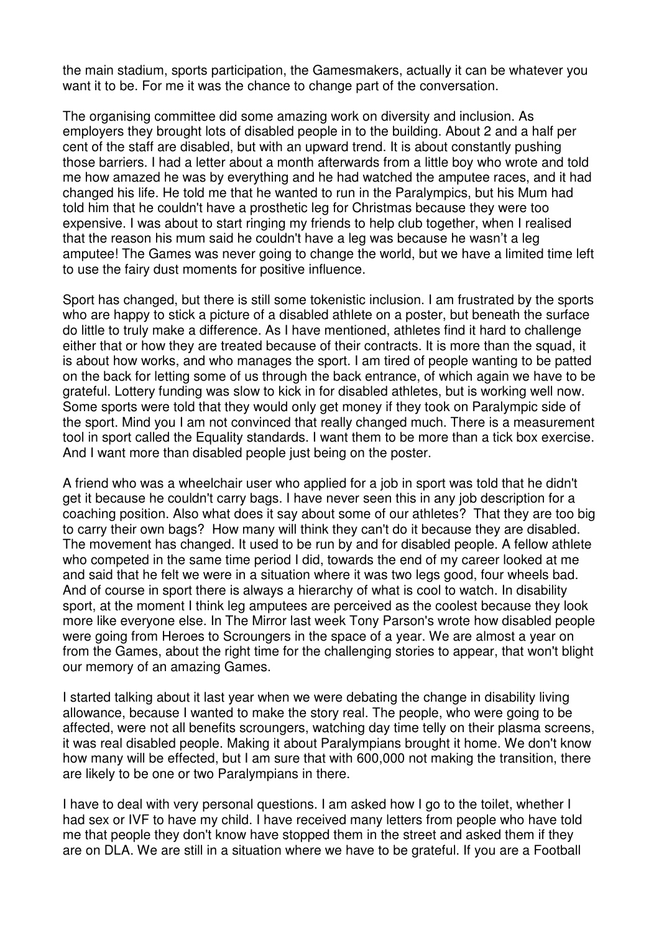the main stadium, sports participation, the Gamesmakers, actually it can be whatever you want it to be. For me it was the chance to change part of the conversation.

The organising committee did some amazing work on diversity and inclusion. As employers they brought lots of disabled people in to the building. About 2 and a half per cent of the staff are disabled, but with an upward trend. It is about constantly pushing those barriers. I had a letter about a month afterwards from a little boy who wrote and told me how amazed he was by everything and he had watched the amputee races, and it had changed his life. He told me that he wanted to run in the Paralympics, but his Mum had told him that he couldn't have a prosthetic leg for Christmas because they were too expensive. I was about to start ringing my friends to help club together, when I realised that the reason his mum said he couldn't have a leg was because he wasn't a leg amputee! The Games was never going to change the world, but we have a limited time left to use the fairy dust moments for positive influence.

Sport has changed, but there is still some tokenistic inclusion. I am frustrated by the sports who are happy to stick a picture of a disabled athlete on a poster, but beneath the surface do little to truly make a difference. As I have mentioned, athletes find it hard to challenge either that or how they are treated because of their contracts. It is more than the squad, it is about how works, and who manages the sport. I am tired of people wanting to be patted on the back for letting some of us through the back entrance, of which again we have to be grateful. Lottery funding was slow to kick in for disabled athletes, but is working well now. Some sports were told that they would only get money if they took on Paralympic side of the sport. Mind you I am not convinced that really changed much. There is a measurement tool in sport called the Equality standards. I want them to be more than a tick box exercise. And I want more than disabled people just being on the poster.

A friend who was a wheelchair user who applied for a job in sport was told that he didn't get it because he couldn't carry bags. I have never seen this in any job description for a coaching position. Also what does it say about some of our athletes? That they are too big to carry their own bags? How many will think they can't do it because they are disabled. The movement has changed. It used to be run by and for disabled people. A fellow athlete who competed in the same time period I did, towards the end of my career looked at me and said that he felt we were in a situation where it was two legs good, four wheels bad. And of course in sport there is always a hierarchy of what is cool to watch. In disability sport, at the moment I think leg amputees are perceived as the coolest because they look more like everyone else. In The Mirror last week Tony Parson's wrote how disabled people were going from Heroes to Scroungers in the space of a year. We are almost a year on from the Games, about the right time for the challenging stories to appear, that won't blight our memory of an amazing Games.

I started talking about it last year when we were debating the change in disability living allowance, because I wanted to make the story real. The people, who were going to be affected, were not all benefits scroungers, watching day time telly on their plasma screens, it was real disabled people. Making it about Paralympians brought it home. We don't know how many will be effected, but I am sure that with 600,000 not making the transition, there are likely to be one or two Paralympians in there.

I have to deal with very personal questions. I am asked how I go to the toilet, whether I had sex or IVF to have my child. I have received many letters from people who have told me that people they don't know have stopped them in the street and asked them if they are on DLA. We are still in a situation where we have to be grateful. If you are a Football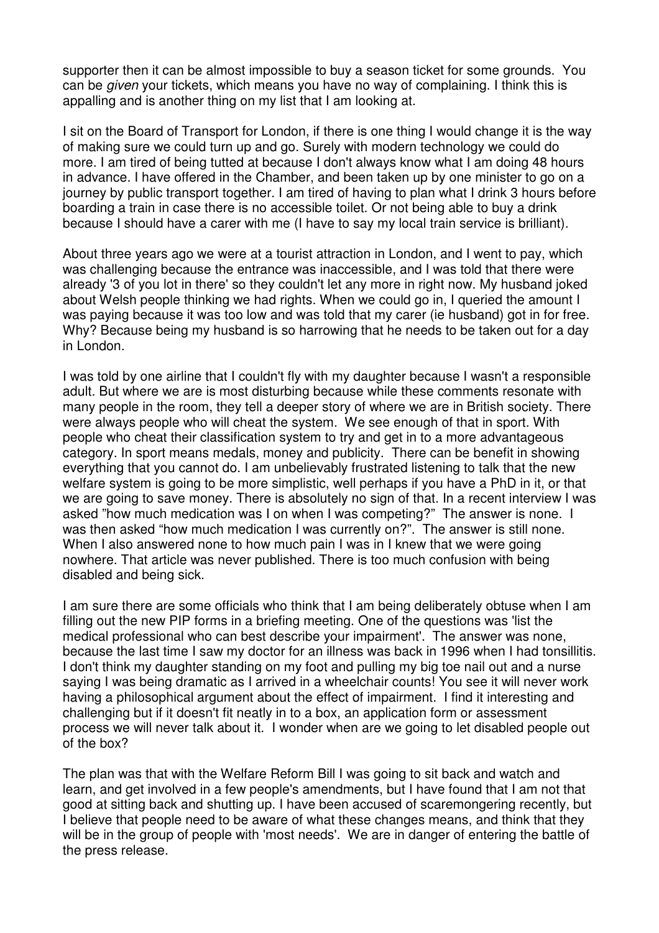supporter then it can be almost impossible to buy a season ticket for some grounds. You can be given your tickets, which means you have no way of complaining. I think this is appalling and is another thing on my list that I am looking at.

I sit on the Board of Transport for London, if there is one thing I would change it is the way of making sure we could turn up and go. Surely with modern technology we could do more. I am tired of being tutted at because I don't always know what I am doing 48 hours in advance. I have offered in the Chamber, and been taken up by one minister to go on a journey by public transport together. I am tired of having to plan what I drink 3 hours before boarding a train in case there is no accessible toilet. Or not being able to buy a drink because I should have a carer with me (I have to say my local train service is brilliant).

About three years ago we were at a tourist attraction in London, and I went to pay, which was challenging because the entrance was inaccessible, and I was told that there were already '3 of you lot in there' so they couldn't let any more in right now. My husband joked about Welsh people thinking we had rights. When we could go in, I queried the amount I was paying because it was too low and was told that my carer (ie husband) got in for free. Why? Because being my husband is so harrowing that he needs to be taken out for a day in London.

I was told by one airline that I couldn't fly with my daughter because I wasn't a responsible adult. But where we are is most disturbing because while these comments resonate with many people in the room, they tell a deeper story of where we are in British society. There were always people who will cheat the system. We see enough of that in sport. With people who cheat their classification system to try and get in to a more advantageous category. In sport means medals, money and publicity. There can be benefit in showing everything that you cannot do. I am unbelievably frustrated listening to talk that the new welfare system is going to be more simplistic, well perhaps if you have a PhD in it, or that we are going to save money. There is absolutely no sign of that. In a recent interview I was asked "how much medication was I on when I was competing?" The answer is none. I was then asked "how much medication I was currently on?". The answer is still none. When I also answered none to how much pain I was in I knew that we were going nowhere. That article was never published. There is too much confusion with being disabled and being sick.

I am sure there are some officials who think that I am being deliberately obtuse when I am filling out the new PIP forms in a briefing meeting. One of the questions was 'list the medical professional who can best describe your impairment'. The answer was none, because the last time I saw my doctor for an illness was back in 1996 when I had tonsillitis. I don't think my daughter standing on my foot and pulling my big toe nail out and a nurse saying I was being dramatic as I arrived in a wheelchair counts! You see it will never work having a philosophical argument about the effect of impairment. I find it interesting and challenging but if it doesn't fit neatly in to a box, an application form or assessment process we will never talk about it. I wonder when are we going to let disabled people out of the box?

The plan was that with the Welfare Reform Bill I was going to sit back and watch and learn, and get involved in a few people's amendments, but I have found that I am not that good at sitting back and shutting up. I have been accused of scaremongering recently, but I believe that people need to be aware of what these changes means, and think that they will be in the group of people with 'most needs'. We are in danger of entering the battle of the press release.